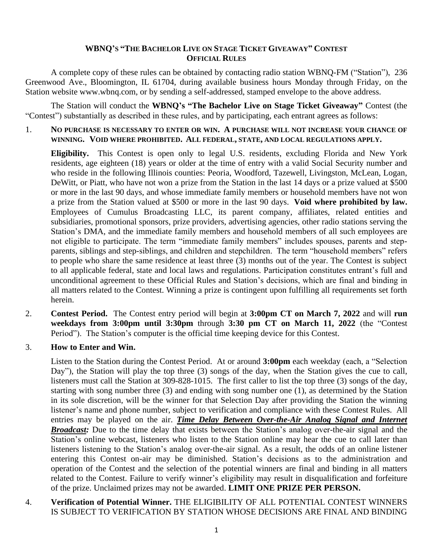## **WBNQ'S "THE BACHELOR LIVE ON STAGE TICKET GIVEAWAY" CONTEST OFFICIAL RULES**

A complete copy of these rules can be obtained by contacting radio station WBNQ-FM ("Station"), 236 Greenwood Ave., Bloomington, IL 61704, during available business hours Monday through Friday, on the Station website www.wbnq.com, or by sending a self-addressed, stamped envelope to the above address.

The Station will conduct the **WBNQ's "The Bachelor Live on Stage Ticket Giveaway"** Contest (the "Contest") substantially as described in these rules, and by participating, each entrant agrees as follows:

1. **NO PURCHASE IS NECESSARY TO ENTER OR WIN. A PURCHASE WILL NOT INCREASE YOUR CHANCE OF WINNING. VOID WHERE PROHIBITED. ALL FEDERAL, STATE, AND LOCAL REGULATIONS APPLY.**

**Eligibility.** This Contest is open only to legal U.S. residents, excluding Florida and New York residents, age eighteen (18) years or older at the time of entry with a valid Social Security number and who reside in the following Illinois counties: Peoria, Woodford, Tazewell, Livingston, McLean, Logan, DeWitt, or Piatt, who have not won a prize from the Station in the last 14 days or a prize valued at \$500 or more in the last 90 days, and whose immediate family members or household members have not won a prize from the Station valued at \$500 or more in the last 90 days. **Void where prohibited by law.** Employees of Cumulus Broadcasting LLC, its parent company, affiliates, related entities and subsidiaries, promotional sponsors, prize providers, advertising agencies, other radio stations serving the Station's DMA, and the immediate family members and household members of all such employees are not eligible to participate. The term "immediate family members" includes spouses, parents and stepparents, siblings and step-siblings, and children and stepchildren. The term "household members" refers to people who share the same residence at least three (3) months out of the year. The Contest is subject to all applicable federal, state and local laws and regulations. Participation constitutes entrant's full and unconditional agreement to these Official Rules and Station's decisions, which are final and binding in all matters related to the Contest. Winning a prize is contingent upon fulfilling all requirements set forth herein.

2. **Contest Period.** The Contest entry period will begin at **3:00pm CT on March 7, 2022** and will **run weekdays from 3:00pm until 3:30pm** through **3:30 pm CT on March 11, 2022** (the "Contest Period"). The Station's computer is the official time keeping device for this Contest.

#### 3. **How to Enter and Win.**

Listen to the Station during the Contest Period. At or around **3:00pm** each weekday (each, a "Selection Day"), the Station will play the top three (3) songs of the day, when the Station gives the cue to call, listeners must call the Station at 309-828-1015. The first caller to list the top three (3) songs of the day, starting with song number three (3) and ending with song number one (1), as determined by the Station in its sole discretion, will be the winner for that Selection Day after providing the Station the winning listener's name and phone number, subject to verification and compliance with these Contest Rules. All entries may be played on the air. *Time Delay Between Over-the-Air Analog Signal and Internet Broadcast:* Due to the time delay that exists between the Station's analog over-the-air signal and the Station's online webcast, listeners who listen to the Station online may hear the cue to call later than listeners listening to the Station's analog over-the-air signal. As a result, the odds of an online listener entering this Contest on-air may be diminished. Station's decisions as to the administration and operation of the Contest and the selection of the potential winners are final and binding in all matters related to the Contest. Failure to verify winner's eligibility may result in disqualification and forfeiture of the prize. Unclaimed prizes may not be awarded. **LIMIT ONE PRIZE PER PERSON.**

4. **Verification of Potential Winner.** THE ELIGIBILITY OF ALL POTENTIAL CONTEST WINNERS IS SUBJECT TO VERIFICATION BY STATION WHOSE DECISIONS ARE FINAL AND BINDING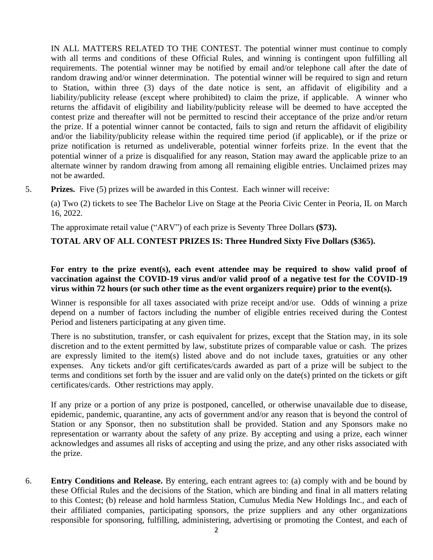IN ALL MATTERS RELATED TO THE CONTEST. The potential winner must continue to comply with all terms and conditions of these Official Rules, and winning is contingent upon fulfilling all requirements. The potential winner may be notified by email and/or telephone call after the date of random drawing and/or winner determination. The potential winner will be required to sign and return to Station, within three (3) days of the date notice is sent, an affidavit of eligibility and a liability/publicity release (except where prohibited) to claim the prize, if applicable. A winner who returns the affidavit of eligibility and liability/publicity release will be deemed to have accepted the contest prize and thereafter will not be permitted to rescind their acceptance of the prize and/or return the prize. If a potential winner cannot be contacted, fails to sign and return the affidavit of eligibility and/or the liability/publicity release within the required time period (if applicable), or if the prize or prize notification is returned as undeliverable, potential winner forfeits prize. In the event that the potential winner of a prize is disqualified for any reason, Station may award the applicable prize to an alternate winner by random drawing from among all remaining eligible entries. Unclaimed prizes may not be awarded.

5. **Prizes.** Five (5) prizes will be awarded in this Contest. Each winner will receive:

(a) Two (2) tickets to see The Bachelor Live on Stage at the Peoria Civic Center in Peoria, IL on March 16, 2022.

The approximate retail value ("ARV") of each prize is Seventy Three Dollars **(\$73).** 

# **TOTAL ARV OF ALL CONTEST PRIZES IS: Three Hundred Sixty Five Dollars (\$365).**

## **For entry to the prize event(s), each event attendee may be required to show valid proof of vaccination against the COVID-19 virus and/or valid proof of a negative test for the COVID-19 virus within 72 hours (or such other time as the event organizers require) prior to the event(s).**

Winner is responsible for all taxes associated with prize receipt and/or use. Odds of winning a prize depend on a number of factors including the number of eligible entries received during the Contest Period and listeners participating at any given time.

There is no substitution, transfer, or cash equivalent for prizes, except that the Station may, in its sole discretion and to the extent permitted by law, substitute prizes of comparable value or cash. The prizes are expressly limited to the item(s) listed above and do not include taxes, gratuities or any other expenses. Any tickets and/or gift certificates/cards awarded as part of a prize will be subject to the terms and conditions set forth by the issuer and are valid only on the date(s) printed on the tickets or gift certificates/cards. Other restrictions may apply.

If any prize or a portion of any prize is postponed, cancelled, or otherwise unavailable due to disease, epidemic, pandemic, quarantine, any acts of government and/or any reason that is beyond the control of Station or any Sponsor, then no substitution shall be provided. Station and any Sponsors make no representation or warranty about the safety of any prize. By accepting and using a prize, each winner acknowledges and assumes all risks of accepting and using the prize, and any other risks associated with the prize.

6. **Entry Conditions and Release.** By entering, each entrant agrees to: (a) comply with and be bound by these Official Rules and the decisions of the Station, which are binding and final in all matters relating to this Contest; (b) release and hold harmless Station, Cumulus Media New Holdings Inc., and each of their affiliated companies, participating sponsors, the prize suppliers and any other organizations responsible for sponsoring, fulfilling, administering, advertising or promoting the Contest, and each of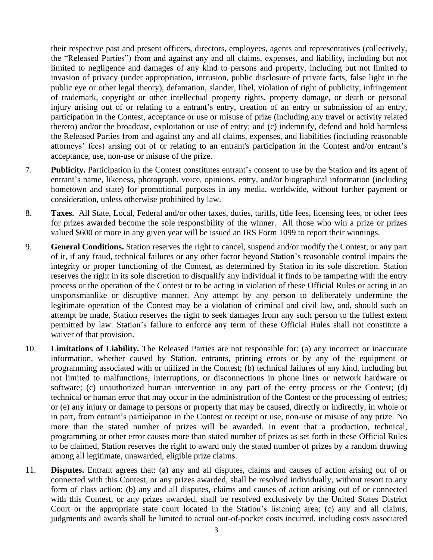their respective past and present officers, directors, employees, agents and representatives (collectively, the "Released Parties") from and against any and all claims, expenses, and liability, including but not limited to negligence and damages of any kind to persons and property, including but not limited to invasion of privacy (under appropriation, intrusion, public disclosure of private facts, false light in the public eye or other legal theory), defamation, slander, libel, violation of right of publicity, infringement of trademark, copyright or other intellectual property rights, property damage, or death or personal injury arising out of or relating to a entrant's entry, creation of an entry or submission of an entry, participation in the Contest, acceptance or use or misuse of prize (including any travel or activity related thereto) and/or the broadcast, exploitation or use of entry; and (c) indemnify, defend and hold harmless the Released Parties from and against any and all claims, expenses, and liabilities (including reasonable attorneys' fees) arising out of or relating to an entrant's participation in the Contest and/or entrant's acceptance, use, non-use or misuse of the prize.

- 7. **Publicity.** Participation in the Contest constitutes entrant's consent to use by the Station and its agent of entrant's name, likeness, photograph, voice, opinions, entry, and/or biographical information (including hometown and state) for promotional purposes in any media, worldwide, without further payment or consideration, unless otherwise prohibited by law.
- 8. **Taxes.** All State, Local, Federal and/or other taxes, duties, tariffs, title fees, licensing fees, or other fees for prizes awarded become the sole responsibility of the winner. All those who win a prize or prizes valued \$600 or more in any given year will be issued an IRS Form 1099 to report their winnings.
- 9. **General Conditions.** Station reserves the right to cancel, suspend and/or modify the Contest, or any part of it, if any fraud, technical failures or any other factor beyond Station's reasonable control impairs the integrity or proper functioning of the Contest, as determined by Station in its sole discretion. Station reserves the right in its sole discretion to disqualify any individual it finds to be tampering with the entry process or the operation of the Contest or to be acting in violation of these Official Rules or acting in an unsportsmanlike or disruptive manner. Any attempt by any person to deliberately undermine the legitimate operation of the Contest may be a violation of criminal and civil law, and, should such an attempt be made, Station reserves the right to seek damages from any such person to the fullest extent permitted by law. Station's failure to enforce any term of these Official Rules shall not constitute a waiver of that provision.
- 10. **Limitations of Liability.** The Released Parties are not responsible for: (a) any incorrect or inaccurate information, whether caused by Station, entrants, printing errors or by any of the equipment or programming associated with or utilized in the Contest; (b) technical failures of any kind, including but not limited to malfunctions, interruptions, or disconnections in phone lines or network hardware or software; (c) unauthorized human intervention in any part of the entry process or the Contest; (d) technical or human error that may occur in the administration of the Contest or the processing of entries; or (e) any injury or damage to persons or property that may be caused, directly or indirectly, in whole or in part, from entrant's participation in the Contest or receipt or use, non-use or misuse of any prize. No more than the stated number of prizes will be awarded. In event that a production, technical, programming or other error causes more than stated number of prizes as set forth in these Official Rules to be claimed, Station reserves the right to award only the stated number of prizes by a random drawing among all legitimate, unawarded, eligible prize claims.
- 11. **Disputes.** Entrant agrees that: (a) any and all disputes, claims and causes of action arising out of or connected with this Contest, or any prizes awarded, shall be resolved individually, without resort to any form of class action; (b) any and all disputes, claims and causes of action arising out of or connected with this Contest, or any prizes awarded, shall be resolved exclusively by the United States District Court or the appropriate state court located in the Station's listening area; (c) any and all claims, judgments and awards shall be limited to actual out-of-pocket costs incurred, including costs associated